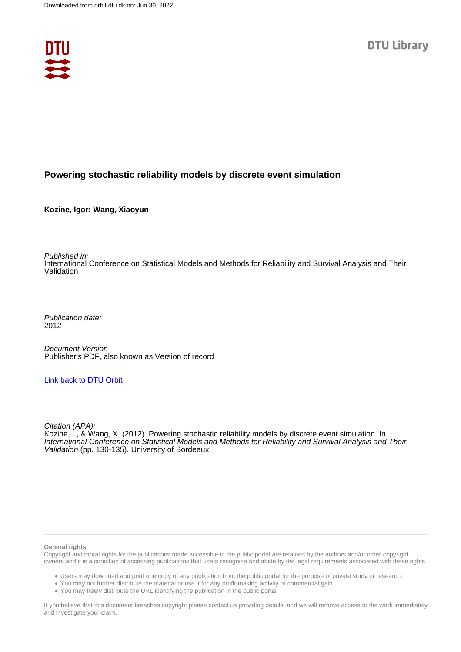

#### **Powering stochastic reliability models by discrete event simulation**

**Kozine, Igor; Wang, Xiaoyun**

Published in:

International Conference on Statistical Models and Methods for Reliability and Survival Analysis and Their Validation

Publication date: 2012

Document Version Publisher's PDF, also known as Version of record

#### [Link back to DTU Orbit](https://orbit.dtu.dk/en/publications/e83d1a20-34f3-426b-a950-219446f53076)

Citation (APA): Kozine, I., & Wang, X. (2012). Powering stochastic reliability models by discrete event simulation. In International Conference on Statistical Models and Methods for Reliability and Survival Analysis and Their Validation (pp. 130-135). University of Bordeaux.

#### **General rights**

Copyright and moral rights for the publications made accessible in the public portal are retained by the authors and/or other copyright owners and it is a condition of accessing publications that users recognise and abide by the legal requirements associated with these rights.

Users may download and print one copy of any publication from the public portal for the purpose of private study or research.

- You may not further distribute the material or use it for any profit-making activity or commercial gain
- You may freely distribute the URL identifying the publication in the public portal

If you believe that this document breaches copyright please contact us providing details, and we will remove access to the work immediately and investigate your claim.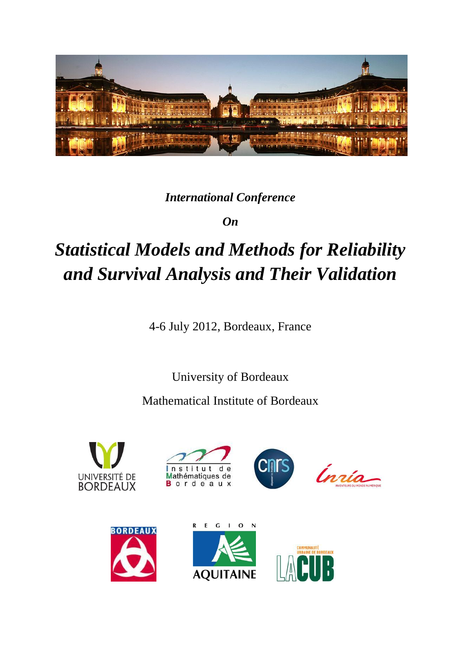

### *International Conference*

*On*

# *Statistical Models and Methods for Reliability and Survival Analysis and Their Validation*

4-6 July 2012, Bordeaux, France

University of Bordeaux

Mathematical Institute of Bordeaux













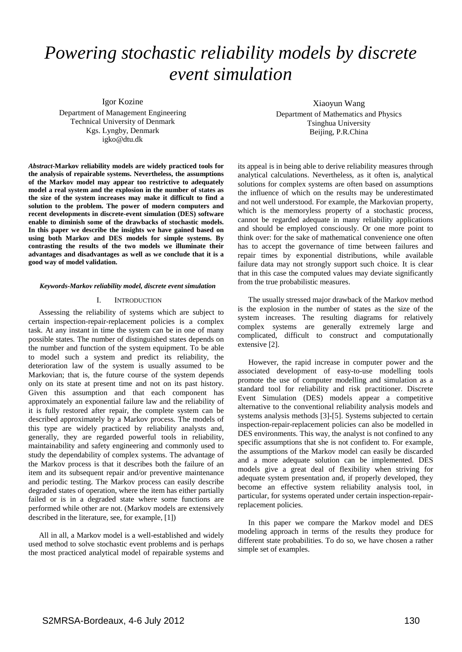## *Powering stochastic reliability models by discrete event simulation*

Igor Kozine

Department of Management Engineering Technical University of Denmark Kgs. Lyngby, Denmark igko@dtu.dk

*Abstract***-Markov reliability models are widely practiced tools for the analysis of repairable systems. Nevertheless, the assumptions of the Markov model may appear too restrictive to adequately model a real system and the explosion in the number of states as the size of the system increases may make it difficult to find a solution to the problem. The power of modern computers and recent developments in discrete-event simulation (DES) software enable to diminish some of the drawbacks of stochastic models. In this paper we describe the insights we have gained based on using both Markov and DES models for simple systems. By contrasting the results of the two models we illuminate their advantages and disadvantages as well as we conclude that it is a good way of model validation.**

#### *Keywords-Markov reliability model, discrete event simulation*

#### I. INTRODUCTION

Assessing the reliability of systems which are subject to certain inspection-repair-replacement policies is a complex task. At any instant in time the system can be in one of many possible states. The number of distinguished states depends on the number and function of the system equipment. To be able to model such a system and predict its reliability, the deterioration law of the system is usually assumed to be Markovian; that is, the future course of the system depends only on its state at present time and not on its past history. Given this assumption and that each component has approximately an exponential failure law and the reliability of it is fully restored after repair, the complete system can be described approximately by a Markov process. The models of this type are widely practiced by reliability analysts and, generally, they are regarded powerful tools in reliability, maintainability and safety engineering and commonly used to study the dependability of complex systems. The advantage of the Markov process is that it describes both the failure of an item and its subsequent repair and/or preventive maintenance and periodic testing. The Markov process can easily describe degraded states of operation, where the item has either partially failed or is in a degraded state where some functions are performed while other are not. (Markov models are extensively described in the literature, see, for example, [\[1\]\)](#page-6-0)

All in all, a Markov model is a well-established and widely used method to solve stochastic event problems and is perhaps the most practiced analytical model of repairable systems and

Xiaoyun Wang Department of Mathematics and Physics Tsinghua University Beijing, P.R.China

its appeal is in being able to derive reliability measures through analytical calculations. Nevertheless, as it often is, analytical solutions for complex systems are often based on assumptions the influence of which on the results may be underestimated and not well understood. For example, the Markovian property, which is the memoryless property of a stochastic process, cannot be regarded adequate in many reliability applications and should be employed consciously. Or one more point to think over: for the sake of mathematical convenience one often has to accept the governance of time between failures and repair times by exponential distributions, while available failure data may not strongly support such choice. It is clear that in this case the computed values may deviate significantly from the true probabilistic measures.

The usually stressed major drawback of the Markov method is the explosion in the number of states as the size of the system increases. The resulting diagrams for relatively complex systems are generally extremely large and complicated, difficult to construct and computationally extensive [\[2\].](#page-6-1)

However, the rapid increase in computer power and the associated development of easy-to-use modelling tools promote the use of computer modelling and simulation as a standard tool for reliability and risk practitioner. Discrete Event Simulation (DES) models appear a competitive alternative to the conventional reliability analysis models and systems analysis methods [\[3\]](#page-6-2)[-\[5\].](#page-6-3) Systems subjected to certain inspection-repair-replacement policies can also be modelled in DES environments. This way, the analyst is not confined to any specific assumptions that she is not confident to. For example, the assumptions of the Markov model can easily be discarded and a more adequate solution can be implemented. DES models give a great deal of flexibility when striving for adequate system presentation and, if properly developed, they become an effective system reliability analysis tool, in particular, for systems operated under certain inspection-repairreplacement policies.

In this paper we compare the Markov model and DES modeling approach in terms of the results they produce for different state probabilities. To do so, we have chosen a rather simple set of examples.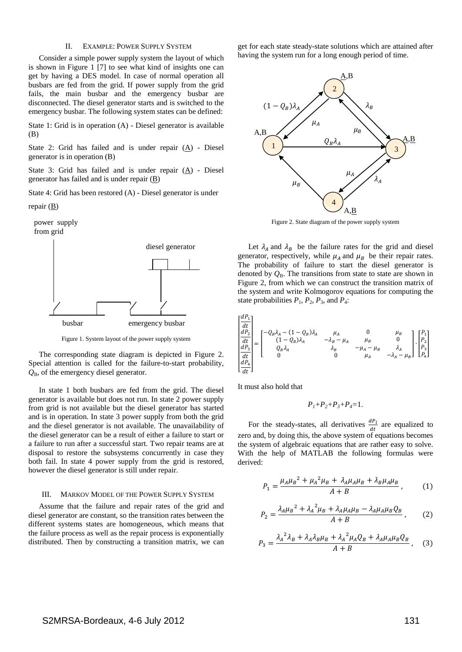#### II. EXAMPLE: POWER SUPPLY SYSTEM

Consider a simple power supply system the layout of which is shown in [Figure 1](#page-3-0) [\[7\]](#page-7-0) to see what kind of insights one can get by having a DES model. In case of normal operation all busbars are fed from the grid. If power supply from the grid fails, the main busbar and the emergency busbar are disconnected. The diesel generator starts and is switched to the emergency busbar. The following system states can be defined:

State 1: Grid is in operation (A) - Diesel generator is available (B)

State 2: Grid has failed and is under repair  $(A)$  - Diesel generator is in operation (B)

State 3: Grid has failed and is under repair (A) - Diesel generator has failed and is under repair  $(\underline{B})$ 

State 4: Grid has been restored (A) - Diesel generator is under

```
repair (B)
```


Figure 1. System layout of the power supply system

<span id="page-3-0"></span>The corresponding state diagram is depicted in [Figure 2.](#page-3-1) Special attention is called for the failure-to-start probability, *Q*B, of the emergency diesel generator.

In state 1 both busbars are fed from the grid. The diesel generator is available but does not run. In state 2 power supply from grid is not available but the diesel generator has started and is in operation. In state 3 power supply from both the grid and the diesel generator is not available. The unavailability of the diesel generator can be a result of either a failure to start or a failure to run after a successful start. Two repair teams are at disposal to restore the subsystems concurrently in case they both fail. In state 4 power supply from the grid is restored, however the diesel generator is still under repair.

#### III. MARKOV MODEL OF THE POWER SUPPLY SYSTEM

Assume that the failure and repair rates of the grid and diesel generator are constant, so the transition rates between the different systems states are homogeneous, which means that the failure process as well as the repair process is exponentially distributed. Then by constructing a transition matrix, we can

get for each state steady-state solutions which are attained after having the system run for a long enough period of time.



Figure 2. State diagram of the power supply system

<span id="page-3-1"></span>Let  $\lambda_A$  and  $\lambda_B$  be the failure rates for the grid and diesel generator, respectively, while  $\mu_A$  and  $\mu_B$  be their repair rates. The probability of failure to start the diesel generator is denoted by  $Q_B$ . The transitions from state to state are shown in [Figure 2,](#page-3-1) from which we can construct the transition matrix of the system and write Kolmogorov equations for computing the state probabilities  $P_1$ ,  $P_2$ ,  $P_3$ , and  $P_4$ :

$$
\begin{bmatrix}\n\frac{dP_1}{dt} \\
\frac{dP_2}{dt} \\
\frac{dP_3}{dt} \\
\frac{dP_4}{dt}\n\end{bmatrix} = \begin{bmatrix}\n-Q_B \lambda_A - (1 - Q_B) \lambda_A & \mu_A & 0 & \mu_B \\
(1 - Q_B) \lambda_A & -\lambda_B - \mu_A & \mu_B & 0 \\
Q_B \lambda_A & \lambda_B & -\mu_A - \mu_B & \lambda_A \\
0 & 0 & \mu_A & -\lambda_A - \mu_B\n\end{bmatrix} \cdot \begin{bmatrix}\nP_1 \\
P_2 \\
P_3 \\
P_4\n\end{bmatrix}
$$

It must also hold that

$$
P_1 + P_2 + P_3 + P_4 = 1.
$$

For the steady-states, all derivatives  $\frac{dP_i}{dt}$  are equalized to zero and, by doing this, the above system of equations becomes the system of algebraic equations that are rather easy to solve. With the help of MATLAB the following formulas were derived:

$$
P_1 = \frac{\mu_A \mu_B^2 + \mu_A^2 \mu_B + \lambda_A \mu_A \mu_B + \lambda_B \mu_A \mu_B}{A + B},
$$
 (1)

$$
P_2 = \frac{\lambda_A \mu_B^2 + \lambda_A^2 \mu_B + \lambda_A \mu_A \mu_B - \lambda_A \mu_A \mu_B Q_B}{A + B},
$$
 (2)

$$
P_3 = \frac{\lambda_A^2 \lambda_B + \lambda_A \lambda_B \mu_B + \lambda_A^2 \mu_A Q_B + \lambda_A \mu_A \mu_B Q_B}{A + B}, \quad (3)
$$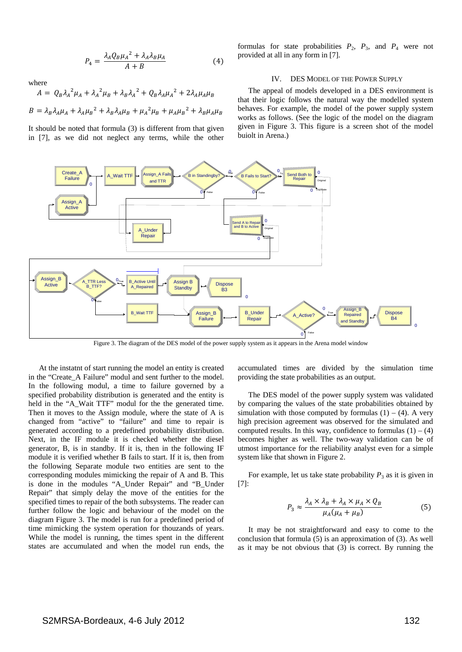$$
P_4 = \frac{\lambda_A Q_B \mu_A^2 + \lambda_A \lambda_B \mu_A}{A + B} \tag{4}
$$

where

$$
A = Q_B \lambda_A^2 \mu_A + \lambda_A^2 \mu_B + \lambda_B \lambda_A^2 + Q_B \lambda_A \mu_A^2 + 2\lambda_A \mu_A \mu_B
$$

$$
B = \lambda_B \lambda_A \mu_A + \lambda_A \mu_B^2 + \lambda_B \lambda_A \mu_B + \mu_A^2 \mu_B + \mu_A \mu_B^2 + \lambda_B \mu_A \mu_B
$$

It should be noted that formula (3) is different from that given in [\[7\],](#page-7-0) as we did not neglect any terms, while the other

formulas for state probabilities  $P_2$ ,  $P_3$ , and  $P_4$  were not provided at all in any form in [\[7\].](#page-7-0)

#### IV. DES MODEL OF THE POWER SUPPLY

The appeal of models developed in a DES environment is that their logic follows the natural way the modelled system behaves. For example, the model of the power supply system works as follows. (See the logic of the model on the diagram given in [Figure 3.](#page-4-0) This figure is a screen shot of the model buiolt in Arena.)



Figure 3. The diagram of the DES model of the power supply system as it appears in the Arena model window

<span id="page-4-0"></span>At the instatnt of start running the model an entity is created in the "Create\_A Failure" modul and sent further to the model. In the following modul, a time to failure governed by a specified probability distribution is generated and the entity is held in the "A\_Wait TTF" modul for the the generated time. Then it moves to the Assign module, where the state of A is changed from "active" to "failure" and time to repair is generated according to a predefined probability distribution. Next, in the IF module it is checked whether the diesel generator, B, is in standby. If it is, then in the following IF module it is verified whether B fails to start. If it is, then from the following Separate module two entities are sent to the corresponding modules mimicking the repair of A and B. This is done in the modules "A\_Under Repair" and "B\_Under Repair" that simply delay the move of the entities for the specified times to repair of the both subsystems. The reader can further follow the logic and behaviour of the model on the diagram [Figure 3.](#page-4-0) The model is run for a predefined period of time mimicking the system operation for thouzands of years. While the model is running, the times spent in the different states are accumulated and when the model run ends, the

accumulated times are divided by the simulation time providing the state probabilities as an output.

The DES model of the power supply system was validated by comparing the values of the state probabilities obtained by simulation with those computed by formulas  $(1) - (4)$ . A very high precision agreement was observed for the simulated and computed results. In this way, confidence to formulas  $(1) - (4)$ becomes higher as well. The two-way validation can be of utmost importance for the reliability analyst even for a simple system like that shown in Figure 2.

For example, let us take state probability  $P_3$  as it is given in [\[7\]:](#page-7-0)

$$
P_3 \approx \frac{\lambda_A \times \lambda_B + \lambda_A \times \mu_A \times Q_B}{\mu_A(\mu_A + \mu_B)} \tag{5}
$$

It may be not straightforward and easy to come to the conclusion that formula (5) is an approximation of (3). As well as it may be not obvious that (3) is correct. By running the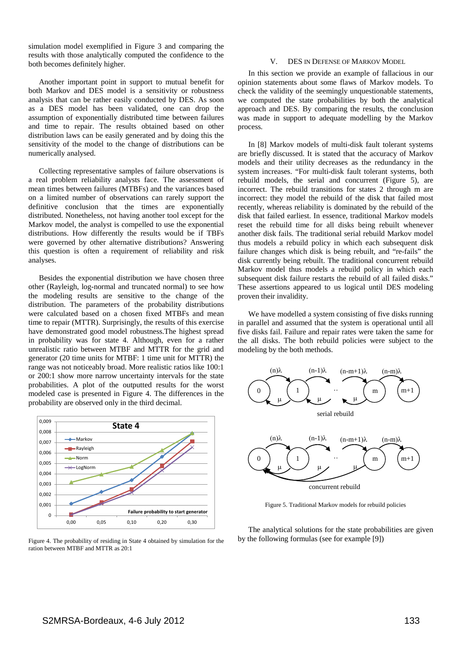simulation model exemplified in Figure 3 and comparing the results with those analytically computed the confidence to the both becomes definitely higher.

Another important point in support to mutual benefit for both Markov and DES model is a sensitivity or robustness analysis that can be rather easily conducted by DES. As soon as a DES model has been validated, one can drop the assumption of exponentially distributed time between failures and time to repair. The results obtained based on other distribution laws can be easily generated and by doing this the sensitivity of the model to the change of distributions can be numerically analysed.

Collecting representative samples of failure observations is a real problem reliability analysts face. The assessment of mean times between failures (MTBFs) and the variances based on a limited number of observations can rarely support the definitive conclusion that the times are exponentially distributed. Nonetheless, not having another tool except for the Markov model, the analyst is compelled to use the exponential distributions. How differently the results would be if TBFs were governed by other alternative distributions? Answering this question is often a requirement of reliability and risk analyses.

Besides the exponential distribution we have chosen three other (Rayleigh, log-normal and truncated normal) to see how the modeling results are sensitive to the change of the distribution. The parameters of the probability distributions were calculated based on a chosen fixed MTBFs and mean time to repair (MTTR). Surprisingly, the results of this exercise have demonstrated good model robustness.The highest spread in probability was for state 4. Although, even for a rather unrealistic ratio between MTBF and MTTR for the grid and generator (20 time units for MTBF: 1 time unit for MTTR) the range was not noticeably broad. More realistic ratios like 100:1 or 200:1 show more narrow uncertainty intervals for the state probabilities. A plot of the outputted results for the worst modeled case is presented in [Figure 4.](#page-5-0) The differences in the probability are observed only in the third decimal.



<span id="page-5-0"></span>Figure 4. The probability of residing in State 4 obtained by simulation for the ration between MTBF and MTTR as 20:1

#### V. DES IN DEFENSE OF MARKOV MODEL

In this section we provide an example of fallacious in our opinion statements about some flaws of Markov models. To check the validity of the seemingly unquestionable statements, we computed the state probabilities by both the analytical approach and DES. By comparing the results, the conclusion was made in support to adequate modelling by the Markov process.

In [\[8\]](#page-7-1) Markov models of multi-disk fault tolerant systems are briefly discussed. It is stated that the accuracy of Markov models and their utility decreases as the redundancy in the system increases. "For multi-disk fault tolerant systems, both rebuild models, the serial and concurrent [\(Figure 5\)](#page-5-1), are incorrect. The rebuild transitions for states 2 through m are incorrect: they model the rebuild of the disk that failed most recently, whereas reliability is dominated by the rebuild of the disk that failed earliest. In essence, traditional Markov models reset the rebuild time for all disks being rebuilt whenever another disk fails. The traditional serial rebuild Markov model thus models a rebuild policy in which each subsequent disk failure changes which disk is being rebuilt, and "re-fails" the disk currently being rebuilt. The traditional concurrent rebuild Markov model thus models a rebuild policy in which each subsequent disk failure restarts the rebuild of all failed disks." These assertions appeared to us logical until DES modeling proven their invalidity.

We have modelled a system consisting of five disks running in parallel and assumed that the system is operational until all five disks fail. Failure and repair rates were taken the same for the all disks. The both rebuild policies were subject to the modeling by the both methods.



concurrent rebuild

Figure 5. Traditional Markov models for rebuild policies

<span id="page-5-1"></span>The analytical solutions for the state probabilities are given by the following formulas (see for example [\[9\]\)](#page-7-2)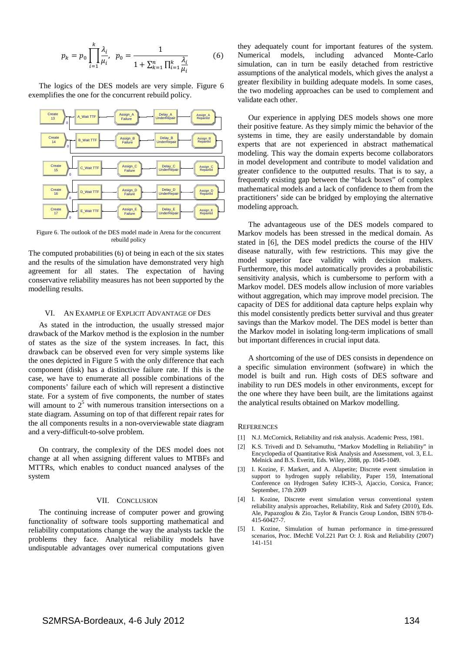$$
p_k = p_0 \prod_{i=1}^k \frac{\lambda_i}{\mu_i}, \ \ p_0 = \frac{1}{1 + \sum_{k=1}^n \prod_{i=1}^k \frac{\lambda_i}{\mu_i}} \tag{6}
$$

The logics of the DES models are very simple. [Figure 6](#page-6-4) exemplifies the one for the concurrent rebuild policy.



<span id="page-6-4"></span>Figure 6. The outlook of the DES model made in Arena for the concurrent rebuild policy

The computed probabilities (6) of being in each of the six states and the results of the simulation have demonstrated very high agreement for all states. The expectation of having conservative reliability measures has not been supported by the modelling results.

#### VI. AN EXAMPLE OF EXPLICIT ADVANTAGE OF DES

As stated in the introduction, the usually stressed major drawback of the Markov method is the explosion in the number of states as the size of the system increases. In fact, this drawback can be observed even for very simple systems like the ones depicted in Figure 5 with the only difference that each component (disk) has a distinctive failure rate. If this is the case, we have to enumerate all possible combinations of the components' failure each of which will represent a distinctive state. For a system of five components, the number of states will amount to  $2<sup>5</sup>$  with numerous transition intersections on a state diagram. Assuming on top of that different repair rates for the all components results in a non-overviewable state diagram and a very-difficult-to-solve problem.

On contrary, the complexity of the DES model does not change at all when assigning different values to MTBFs and MTTRs, which enables to conduct nuanced analyses of the system

#### VII. CONCLUSION

The continuing increase of computer power and growing functionality of software tools supporting mathematical and reliability computations change the way the analysts tackle the problems they face. Analytical reliability models have undisputable advantages over numerical computations given

they adequately count for important features of the system.<br>Numerical models, including advanced Monte-Carlo Numerical models, including advanced Monte-Carlo simulation, can in turn be easily detached from restrictive assumptions of the analytical models, which gives the analyst a greater flexibility in building adequate models. In some cases, the two modeling approaches can be used to complement and validate each other.

Our experience in applying DES models shows one more their positive feature. As they simply mimic the behavior of the systems in time, they are easily understandable by domain experts that are not experienced in abstract mathematical modeling. This way the domain experts become collaborators in model development and contribute to model validation and greater confidence to the outputted results. That is to say, a frequently existing gap between the "black boxes" of complex mathematical models and a lack of confidence to them from the practitioners' side can be bridged by employing the alternative modeling approach.

The advantageous use of the DES models compared to Markov models has been stressed in the medical domain. As stated in [\[6\],](#page-7-3) the DES model predicts the course of the HIV disease naturally, with few restrictions. This may give the model superior face validity with decision makers. Furthermore, this model automatically provides a probabilistic sensitivity analysis, which is cumbersome to perform with a Markov model. DES models allow inclusion of more variables without aggregation, which may improve model precision. The capacity of DES for additional data capture helps explain why this model consistently predicts better survival and thus greater savings than the Markov model. The DES model is better than the Markov model in isolating long-term implications of small but important differences in crucial input data.

A shortcoming of the use of DES consists in dependence on a specific simulation environment (software) in which the model is built and run. High costs of DES software and inability to run DES models in other environments, except for the one where they have been built, are the limitations against the analytical results obtained on Markov modelling.

#### **REFERENCES**

- <span id="page-6-0"></span>[1] N.J. McCornick, Reliability and risk analysis. Academic Press, 1981.
- <span id="page-6-1"></span>[2] K.S. Trivedi and D. Selvamuthu, "Markov Modelling in Reliability" in Encyclopedia of Quantitative Risk Analysis and Assessment, vol. 3, E.L. Melnick and B.S. Everitt, Eds. Wiley, 2088, pp. 1045-1049.
- <span id="page-6-2"></span>[3] I. Kozine, F. Markert, and A. Alapetite; Discrete event simulation in support to hydrogen supply reliability, Paper 159, International Conference on Hydrogen Safety ICHS-3, Ajaccio, Corsica, France; September, 17th 2009
- [4] I. Kozine, Discrete event simulation versus conventional system reliability analysis approaches, Reliability, Risk and Safety (2010), Eds. Ale, Papazoglou & Zio, Taylor & Francis Group London, ISBN 978-0- 415-60427-7.
- <span id="page-6-3"></span>[5] I. Kozine, Simulation of human performance in time-pressured scenarios, Proc. IMechE Vol.221 Part O: J. Risk and Reliability (2007) 141-151